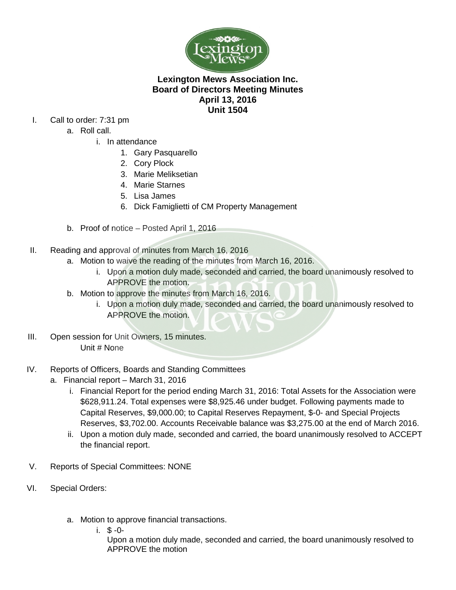

## **Lexington Mews Association Inc. Board of Directors Meeting Minutes April 13, 2016 Unit 1504**

- I. Call to order: 7:31 pm
	- a. Roll call.
		- i. In attendance
			- 1. Gary Pasquarello
			- 2. Cory Plock
			- 3. Marie Meliksetian

í

- 4. Marie Starnes
- 5. Lisa James
- 6. Dick Famiglietti of CM Property Management
- b. Proof of notice Posted April 1, 2016
- II. Reading and approval of minutes from March 16, 2016
	- a. Motion to waive the reading of the minutes from March 16, 2016.
		- i. Upon a motion duly made, seconded and carried, the board unanimously resolved to APPROVE the motion.
	- b. Motion to approve the minutes from March 16, 2016.
		- i. Upon a motion duly made, seconded and carried, the board unanimously resolved to APPROVE the motion.
- III. Open session for Unit Owners, 15 minutes. Unit # None
- IV. Reports of Officers, Boards and Standing Committees
	- a. Financial report March 31, 2016
		- i. Financial Report for the period ending March 31, 2016: Total Assets for the Association were \$628,911.24. Total expenses were \$8,925.46 under budget. Following payments made to Capital Reserves, \$9,000.00; to Capital Reserves Repayment, \$-0- and Special Projects Reserves, \$3,702.00. Accounts Receivable balance was \$3,275.00 at the end of March 2016.
		- ii. Upon a motion duly made, seconded and carried, the board unanimously resolved to ACCEPT the financial report.
- V. Reports of Special Committees: NONE
- VI. Special Orders:
	- a. Motion to approve financial transactions.
		- i. \$ -0-

Upon a motion duly made, seconded and carried, the board unanimously resolved to APPROVE the motion